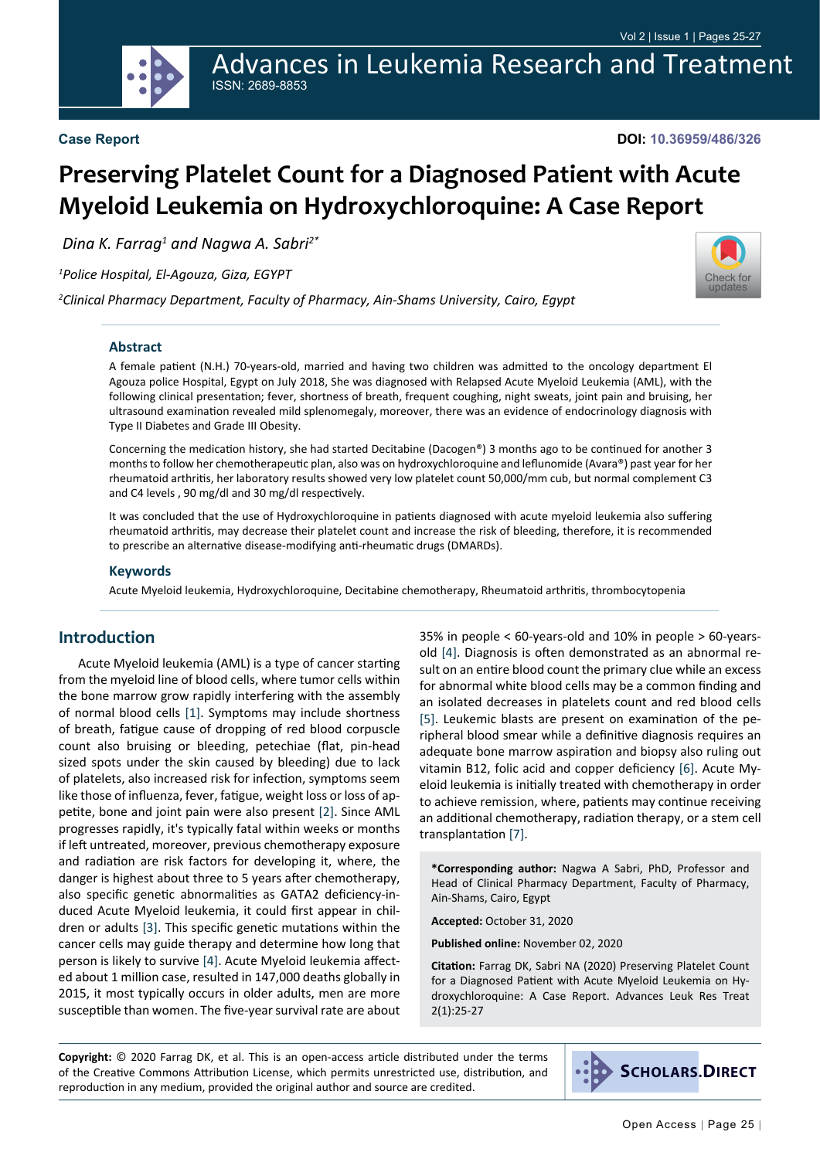Advances in Leukemia Research and Treatment ISSN: 2689-8853

**DOI: 10.36959/486/326**

# **Preserving Platelet Count for a Diagnosed Patient with Acute Myeloid Leukemia on Hydroxychloroquine: A Case Report**

 *Dina K. Farrag1 and Nagwa A. Sabri2\**

*1 Police Hospital, El-Agouza, Giza, EGYPT*

*2 Clinical Pharmacy Department, Faculty of Pharmacy, Ain-Shams University, Cairo, Egypt*



#### **Abstract**

A female patient (N.H.) 70-years-old, married and having two children was admitted to the oncology department El Agouza police Hospital, Egypt on July 2018, She was diagnosed with Relapsed Acute Myeloid Leukemia (AML), with the following clinical presentation; fever, shortness of breath, frequent coughing, night sweats, joint pain and bruising, her ultrasound examination revealed mild splenomegaly, moreover, there was an evidence of endocrinology diagnosis with Type II Diabetes and Grade III Obesity.

Concerning the medication history, she had started Decitabine (Dacogen®) 3 months ago to be continued for another 3 months to follow her chemotherapeutic plan, also was on hydroxychloroquine and leflunomide (Avara®) past year for her rheumatoid arthritis, her laboratory results showed very low platelet count 50,000/mm cub, but normal complement C3 and C4 levels , 90 mg/dl and 30 mg/dl respectively.

It was concluded that the use of Hydroxychloroquine in patients diagnosed with acute myeloid leukemia also suffering rheumatoid arthritis, may decrease their platelet count and increase the risk of bleeding, therefore, it is recommended to prescribe an alternative disease-modifying anti-rheumatic drugs (DMARDs).

#### **Keywords**

Acute Myeloid leukemia, Hydroxychloroquine, Decitabine chemotherapy, Rheumatoid arthritis, thrombocytopenia

#### **Introduction**

Acute Myeloid leukemia (AML) is a type of cancer starting from the myeloid line of blood cells, where tumor cells within the bone marrow grow rapidly interfering with the assembly of normal blood cells [\[1\]](#page-2-0). Symptoms may include shortness of breath, fatigue cause of dropping of red blood corpuscle count also bruising or bleeding, petechiae (flat, pin-head sized spots under the skin caused by bleeding) due to lack of platelets, also increased risk for infection, symptoms seem like those of influenza, fever, fatigue, weight loss or loss of appetite, bone and joint pain were also present [\[2\]](#page-2-1). Since AML progresses rapidly, it's typically fatal within weeks or months if left untreated, moreover, previous chemotherapy exposure and radiation are risk factors for developing it, where, the danger is highest about three to 5 years after chemotherapy, also specific genetic abnormalities as GATA2 deficiency-induced Acute Myeloid leukemia, it could first appear in children or adults [\[3\]](#page-2-2). This specific [genetic mutations](https://en.wikipedia.org/wiki/Genetic_mutations) within the cancer cells may guide therapy and determine how long that person is likely to survive [\[4](#page-2-3)]. Acute Myeloid leukemia affected about 1 million case, resulted in 147,000 deaths globally in 2015, it most typically occurs in older adults, men are more susceptible than women. The five-year survival rate are about

35% in people  $<$  60-years-old and 10% in people  $>$  60-yearsold [[4\]](#page-2-3). Diagnosis is often demonstrated as an abnormal result on an entire blood count the primary clue while an excess for abnormal white blood cells may be a common finding and an isolated decreases in platelets count and red blood cells [[5](#page-2-4)]. Leukemic blasts are present on examination of the peripheral blood smear while a definitive diagnosis requires an adequate bone marrow aspiration and biopsy also ruling out vitamin B12, folic acid and copper deficiency [[6](#page-2-5)]. Acute Myeloid leukemia is initially treated with [chemotherapy](https://en.wikipedia.org/wiki/Chemotherapy) in order to achieve remission, where, patients may continue receiving an additional chemotherapy, [radiation therapy](https://en.wikipedia.org/wiki/Radiation_therapy), or a [stem cell](https://en.wikipedia.org/wiki/Hematopoietic_stem_cell_transplant)  [transplant](https://en.wikipedia.org/wiki/Hematopoietic_stem_cell_transplant)ation [[7](#page-2-6)].

**\*Corresponding author:** Nagwa A Sabri, PhD, Professor and Head of Clinical Pharmacy Department, Faculty of Pharmacy, Ain-Shams, Cairo, Egypt

**Accepted:** October 31, 2020

**Published online:** November 02, 2020

**Citation:** Farrag DK, Sabri NA (2020) Preserving Platelet Count for a Diagnosed Patient with Acute Myeloid Leukemia on Hydroxychloroquine: A Case Report. Advances Leuk Res Treat 2(1):25-27

**Copyright:** © 2020 Farrag DK, et al. This is an open-access article distributed under the terms of the Creative Commons Attribution License, which permits unrestricted use, distribution, and reproduction in any medium, provided the original author and source are credited.

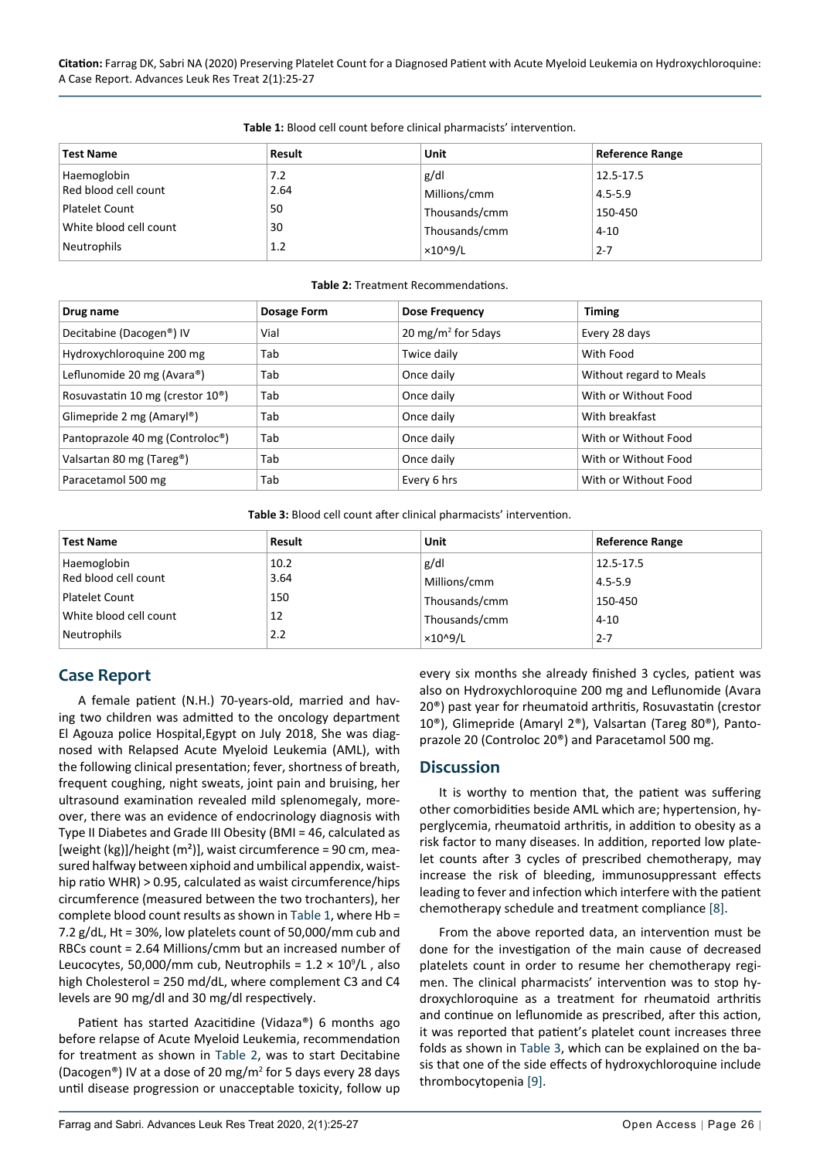**Citation:** Farrag DK, Sabri NA (2020) Preserving Platelet Count for a Diagnosed Patient with Acute Myeloid Leukemia on Hydroxychloroquine: A Case Report. Advances Leuk Res Treat 2(1):25-27

| <b>Test Name</b>       | Result | Unit            | <b>Reference Range</b> |
|------------------------|--------|-----------------|------------------------|
| Haemoglobin            | 7.2    | g/dl            | 12.5-17.5              |
| Red blood cell count   | 2.64   | Millions/cmm    | $4.5 - 5.9$            |
| <b>Platelet Count</b>  | 50     | Thousands/cmm   | 150-450                |
| White blood cell count | 30     | Thousands/cmm   | $4 - 10$               |
| Neutrophils            | 1.2    | $\times$ 10^9/L | $2 - 7$                |

<span id="page-1-1"></span>**Table 1:** Blood cell count before clinical pharmacists' intervention.

#### <span id="page-1-2"></span>**Table 2:** Treatment Recommendations.

| Drug name                                     | Dosage Form | <b>Dose Frequency</b>          | <b>Timing</b>           |
|-----------------------------------------------|-------------|--------------------------------|-------------------------|
| Decitabine (Dacogen <sup>®</sup> ) IV         | Vial        | 20 mg/m <sup>2</sup> for 5days | Every 28 days           |
| Hydroxychloroquine 200 mg                     | Tab         | Twice daily                    | With Food               |
| Leflunomide 20 mg (Avara®)                    | Tab         | Once daily                     | Without regard to Meals |
| Rosuvastatin 10 mg (crestor 10 <sup>®</sup> ) | Tab         | Once daily                     | With or Without Food    |
| Glimepride 2 mg (Amaryl®)                     | Tab         | Once daily                     | With breakfast          |
| Pantoprazole 40 mg (Controloc <sup>®</sup> )  | Tab         | Once daily                     | With or Without Food    |
| Valsartan 80 mg (Tareg®)                      | Tab         | Once daily                     | With or Without Food    |
| Paracetamol 500 mg                            | Tab         | Every 6 hrs                    | With or Without Food    |

<span id="page-1-0"></span>**Table 3:** Blood cell count after clinical pharmacists' intervention.

| <b>Test Name</b>       | Result | Unit                 | <b>Reference Range</b> |
|------------------------|--------|----------------------|------------------------|
| Haemoglobin            | 10.2   | g/dl                 | 12.5-17.5              |
| Red blood cell count   | 3.64   | Millions/cmm         | $4.5 - 5.9$            |
| <b>Platelet Count</b>  | 150    | Thousands/cmm        | 150-450                |
| White blood cell count | 12     | Thousands/cmm        | $4 - 10$               |
| Neutrophils            | 2.2    | ×10 <sup>0</sup> 9/L | $2 - 7$                |

### **Case Report**

A female patient (N.H.) 70-years-old, married and having two children was admitted to the oncology department El Agouza police Hospital,Egypt on July 2018, She was diagnosed with Relapsed Acute Myeloid Leukemia (AML), with the following clinical presentation; fever, shortness of breath, frequent coughing, night sweats, joint pain and bruising, her ultrasound examination revealed mild splenomegaly, moreover, there was an evidence of endocrinology diagnosis with Type II Diabetes and Grade III Obesity (BMI = 46, calculated as [weight (kg)]/height ( $m<sup>2</sup>$ )], waist circumference = 90 cm, measured halfway between xiphoid and umbilical appendix, waisthip ratio WHR) > 0.95, calculated as waist circumference/hips circumference (measured between the two trochanters), her complete blood count results as shown in [Table](#page-1-1) 1, where Hb = 7.2 g/dL, Ht = 30%, low platelets count of 50,000/mm cub and RBCs count = 2.64 Millions/cmm but an increased number of Leucocytes, 50,000/mm cub, Neutrophils =  $1.2 \times 10^9$ /L, also high Cholesterol = 250 md/dL, where complement C3 and C4 levels are 90 mg/dl and 30 mg/dl respectively.

Patient has started Azacitidine (Vidaza®) 6 months ago before relapse of Acute Myeloid Leukemia, recommendation for treatment as shown in [Table](#page-1-2) 2, was to start Decitabine (Dacogen®) IV at a dose of 20 mg/m<sup>2</sup> for 5 days every 28 days until disease progression or unacceptable toxicity, follow up

every six months she already finished 3 cycles, patient was also on Hydroxychloroquine 200 mg and Leflunomide (Avara 20®) past year for rheumatoid arthritis, Rosuvastatin (crestor 10®), Glimepride (Amaryl 2®), Valsartan (Tareg 80®), Pantoprazole 20 (Controloc 20®) and Paracetamol 500 mg.

#### **Discussion**

It is worthy to mention that, the patient was suffering other comorbidities beside AML which are; hypertension, hyperglycemia, rheumatoid arthritis, in addition to obesity as a risk factor to many diseases. In addition, reported low platelet counts after 3 cycles of prescribed chemotherapy, may increase the risk of bleeding, immunosuppressant effects leading to fever and infection which interfere with the patient chemotherapy schedule and treatment compliance [[8](#page-2-7)].

From the above reported data, an intervention must be done for the investigation of the main cause of decreased platelets count in order to resume her chemotherapy regimen. The clinical pharmacists' intervention was to stop hydroxychloroquine as a treatment for rheumatoid arthritis and continue on leflunomide as prescribed, after this action, it was reported that patient's platelet count increases three folds as shown in [Table](#page-1-0) 3, which can be explained on the basis that one of the side effects of hydroxychloroquine include thrombocytopenia [[9](#page-2-8)].